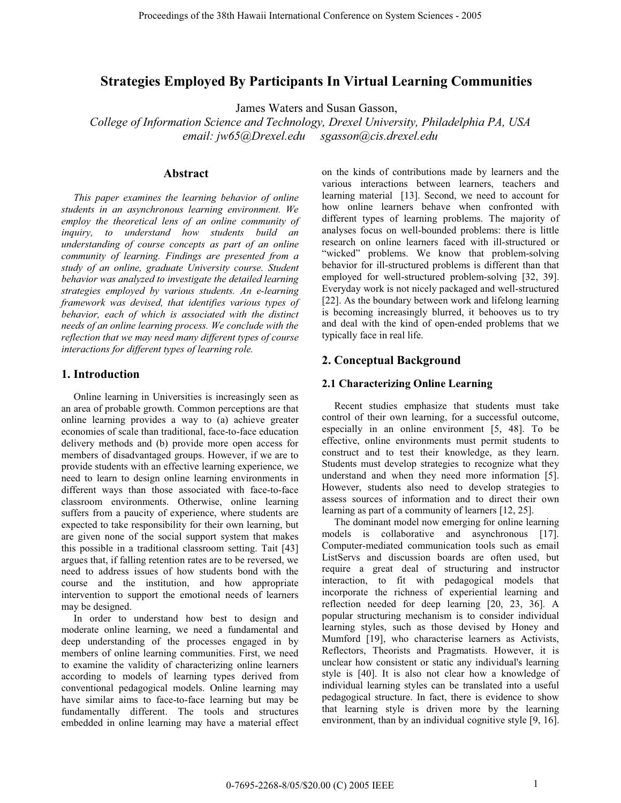# **Strategies Employed By Participants In Virtual Learning Communities**

James Waters and Susan Gasson,

*College of Information Science and Technology, Drexel University, Philadelphia PA, USA email: jw65@Drexel.edu sgasson@cis.drexel.edu* 

# **Abstract**

*This paper examines the learning behavior of online students in an asynchronous learning environment. We employ the theoretical lens of an online community of inquiry, to understand how students build an understanding of course concepts as part of an online community of learning. Findings are presented from a study of an online, graduate University course. Student behavior was analyzed to investigate the detailed learning strategies employed by various students. An e-learning framework was devised, that identifies various types of behavior, each of which is associated with the distinct needs of an online learning process. We conclude with the reflection that we may need many different types of course interactions for different types of learning role.* 

# **1. Introduction**

Online learning in Universities is increasingly seen as an area of probable growth. Common perceptions are that online learning provides a way to (a) achieve greater economies of scale than traditional, face-to-face education delivery methods and (b) provide more open access for members of disadvantaged groups. However, if we are to provide students with an effective learning experience, we need to learn to design online learning environments in different ways than those associated with face-to-face classroom environments. Otherwise, online learning suffers from a paucity of experience, where students are expected to take responsibility for their own learning, but are given none of the social support system that makes this possible in a traditional classroom setting. Tait [43] argues that, if falling retention rates are to be reversed, we need to address issues of how students bond with the course and the institution, and how appropriate intervention to support the emotional needs of learners may be designed.

In order to understand how best to design and moderate online learning, we need a fundamental and deep understanding of the processes engaged in by members of online learning communities. First, we need to examine the validity of characterizing online learners according to models of learning types derived from conventional pedagogical models. Online learning may have similar aims to face-to-face learning but may be fundamentally different. The tools and structures embedded in online learning may have a material effect

on the kinds of contributions made by learners and the various interactions between learners, teachers and learning material [13]. Second, we need to account for how online learners behave when confronted with different types of learning problems. The majority of analyses focus on well-bounded problems: there is little research on online learners faced with ill-structured or "wicked" problems. We know that problem-solving behavior for ill-structured problems is different than that employed for well-structured problem-solving [32, 39]. Everyday work is not nicely packaged and well-structured [22]. As the boundary between work and lifelong learning is becoming increasingly blurred, it behooves us to try and deal with the kind of open-ended problems that we typically face in real life.

# **2. Conceptual Background**

### **2.1 Characterizing Online Learning**

Recent studies emphasize that students must take control of their own learning, for a successful outcome, especially in an online environment [5, 48]. To be effective, online environments must permit students to construct and to test their knowledge, as they learn. Students must develop strategies to recognize what they understand and when they need more information [5]. However, students also need to develop strategies to assess sources of information and to direct their own learning as part of a community of learners [12, 25].

The dominant model now emerging for online learning models is collaborative and asynchronous [17]. Computer-mediated communication tools such as email ListServs and discussion boards are often used, but require a great deal of structuring and instructor interaction, to fit with pedagogical models that incorporate the richness of experiential learning and reflection needed for deep learning [20, 23, 36]. A popular structuring mechanism is to consider individual learning styles, such as those devised by Honey and Mumford [19], who characterise learners as Activists, Reflectors, Theorists and Pragmatists. However, it is unclear how consistent or static any individual's learning style is [40]. It is also not clear how a knowledge of individual learning styles can be translated into a useful pedagogical structure. In fact, there is evidence to show that learning style is driven more by the learning environment, than by an individual cognitive style [9, 16].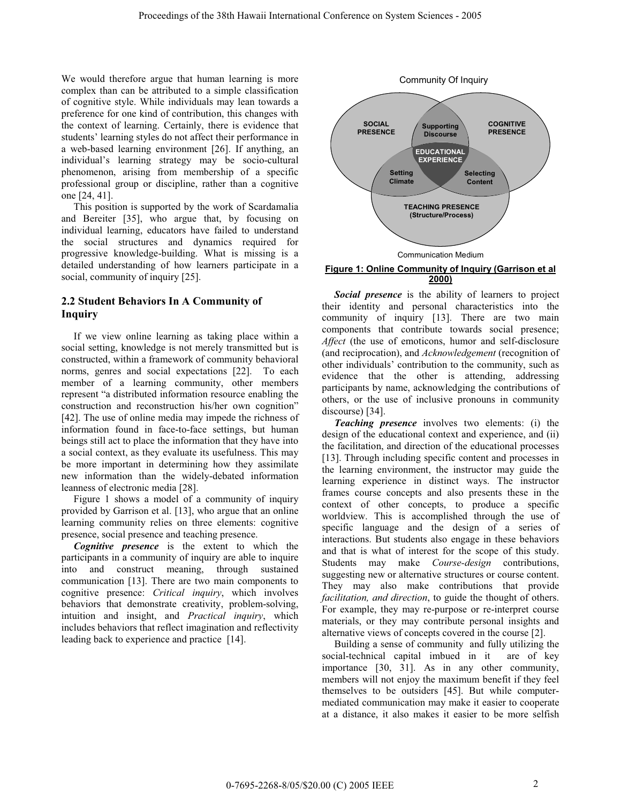We would therefore argue that human learning is more complex than can be attributed to a simple classification of cognitive style. While individuals may lean towards a preference for one kind of contribution, this changes with the context of learning. Certainly, there is evidence that students' learning styles do not affect their performance in a web-based learning environment [26]. If anything, an individual's learning strategy may be socio-cultural phenomenon, arising from membership of a specific professional group or discipline, rather than a cognitive one [24, 41].

This position is supported by the work of Scardamalia and Bereiter [35], who argue that, by focusing on individual learning, educators have failed to understand the social structures and dynamics required for progressive knowledge-building. What is missing is a detailed understanding of how learners participate in a social, community of inquiry [25].

# **2.2 Student Behaviors In A Community of Inquiry**

If we view online learning as taking place within a social setting, knowledge is not merely transmitted but is constructed, within a framework of community behavioral norms, genres and social expectations [22]. To each member of a learning community, other members represent "a distributed information resource enabling the construction and reconstruction his/her own cognition" [42]. The use of online media may impede the richness of information found in face-to-face settings, but human beings still act to place the information that they have into a social context, as they evaluate its usefulness. This may be more important in determining how they assimilate new information than the widely-debated information leanness of electronic media [28].

Figure 1 shows a model of a community of inquiry provided by Garrison et al. [13], who argue that an online learning community relies on three elements: cognitive presence, social presence and teaching presence.

*Cognitive presence* is the extent to which the participants in a community of inquiry are able to inquire into and construct meaning, through sustained communication [13]. There are two main components to cognitive presence: *Critical inquiry*, which involves behaviors that demonstrate creativity, problem-solving, intuition and insight, and *Practical inquiry*, which includes behaviors that reflect imagination and reflectivity leading back to experience and practice [14].



#### **Figure 1: Online Community of Inquiry (Garrison et al 2000)**

*Social presence* is the ability of learners to project their identity and personal characteristics into the community of inquiry [13]. There are two main components that contribute towards social presence; *Affect* (the use of emoticons, humor and self-disclosure (and reciprocation), and *Acknowledgement* (recognition of other individuals' contribution to the community, such as evidence that the other is attending, addressing participants by name, acknowledging the contributions of others, or the use of inclusive pronouns in community discourse) [34].

*Teaching presence* involves two elements: (i) the design of the educational context and experience, and (ii) the facilitation, and direction of the educational processes [13]. Through including specific content and processes in the learning environment, the instructor may guide the learning experience in distinct ways. The instructor frames course concepts and also presents these in the context of other concepts, to produce a specific worldview. This is accomplished through the use of specific language and the design of a series of interactions. But students also engage in these behaviors and that is what of interest for the scope of this study. Students may make *Course-design* contributions, suggesting new or alternative structures or course content. They may also make contributions that provide *facilitation, and direction*, to guide the thought of others. For example, they may re-purpose or re-interpret course materials, or they may contribute personal insights and alternative views of concepts covered in the course [2].

Building a sense of community and fully utilizing the social-technical capital imbued in it are of key importance [30, 31]. As in any other community, members will not enjoy the maximum benefit if they feel themselves to be outsiders [45]. But while computermediated communication may make it easier to cooperate at a distance, it also makes it easier to be more selfish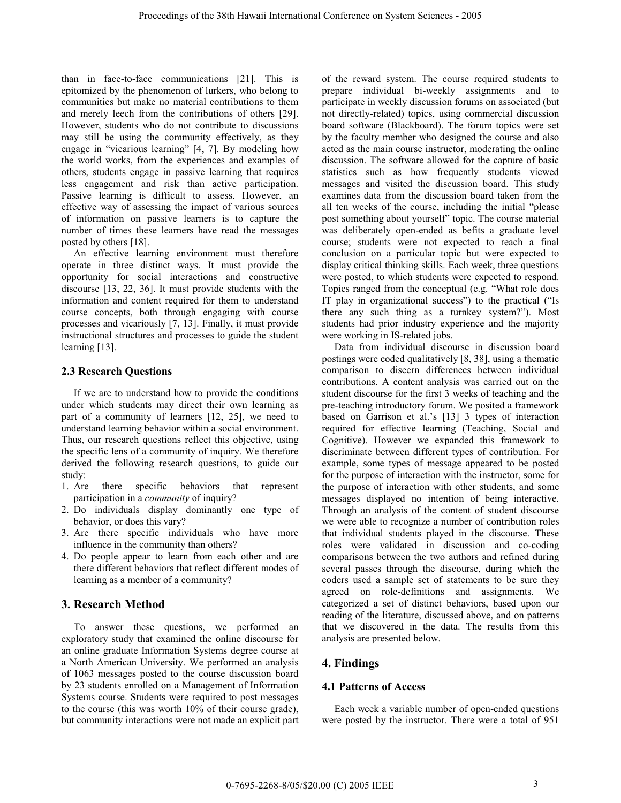than in face-to-face communications [21]. This is epitomized by the phenomenon of lurkers, who belong to communities but make no material contributions to them and merely leech from the contributions of others [29]. However, students who do not contribute to discussions may still be using the community effectively, as they engage in "vicarious learning" [4, 7]. By modeling how the world works, from the experiences and examples of others, students engage in passive learning that requires less engagement and risk than active participation. Passive learning is difficult to assess. However, an effective way of assessing the impact of various sources of information on passive learners is to capture the number of times these learners have read the messages posted by others [18].

An effective learning environment must therefore operate in three distinct ways. It must provide the opportunity for social interactions and constructive discourse [13, 22, 36]. It must provide students with the information and content required for them to understand course concepts, both through engaging with course processes and vicariously [7, 13]. Finally, it must provide instructional structures and processes to guide the student learning [13].

#### **2.3 Research Questions**

If we are to understand how to provide the conditions under which students may direct their own learning as part of a community of learners [12, 25], we need to understand learning behavior within a social environment. Thus, our research questions reflect this objective, using the specific lens of a community of inquiry. We therefore derived the following research questions, to guide our study:

- 1. Are there specific behaviors that represent participation in a *community* of inquiry?
- 2. Do individuals display dominantly one type of behavior, or does this vary?
- 3. Are there specific individuals who have more influence in the community than others?
- 4. Do people appear to learn from each other and are there different behaviors that reflect different modes of learning as a member of a community?

# **3. Research Method**

To answer these questions, we performed an exploratory study that examined the online discourse for an online graduate Information Systems degree course at a North American University. We performed an analysis of 1063 messages posted to the course discussion board by 23 students enrolled on a Management of Information Systems course. Students were required to post messages to the course (this was worth 10% of their course grade), but community interactions were not made an explicit part of the reward system. The course required students to prepare individual bi-weekly assignments and to participate in weekly discussion forums on associated (but not directly-related) topics, using commercial discussion board software (Blackboard). The forum topics were set by the faculty member who designed the course and also acted as the main course instructor, moderating the online discussion. The software allowed for the capture of basic statistics such as how frequently students viewed messages and visited the discussion board. This study examines data from the discussion board taken from the all ten weeks of the course, including the initial "please post something about yourself" topic. The course material was deliberately open-ended as befits a graduate level course; students were not expected to reach a final conclusion on a particular topic but were expected to display critical thinking skills. Each week, three questions were posted, to which students were expected to respond. Topics ranged from the conceptual (e.g. "What role does IT play in organizational success") to the practical ("Is there any such thing as a turnkey system?"). Most students had prior industry experience and the majority were working in IS-related jobs.

Data from individual discourse in discussion board postings were coded qualitatively [8, 38], using a thematic comparison to discern differences between individual contributions. A content analysis was carried out on the student discourse for the first 3 weeks of teaching and the pre-teaching introductory forum. We posited a framework based on Garrison et al.'s [13] 3 types of interaction required for effective learning (Teaching, Social and Cognitive). However we expanded this framework to discriminate between different types of contribution. For example, some types of message appeared to be posted for the purpose of interaction with the instructor, some for the purpose of interaction with other students, and some messages displayed no intention of being interactive. Through an analysis of the content of student discourse we were able to recognize a number of contribution roles that individual students played in the discourse. These roles were validated in discussion and co-coding comparisons between the two authors and refined during several passes through the discourse, during which the coders used a sample set of statements to be sure they agreed on role-definitions and assignments. We categorized a set of distinct behaviors, based upon our reading of the literature, discussed above, and on patterns that we discovered in the data. The results from this analysis are presented below.

# **4. Findings**

# **4.1 Patterns of Access**

Each week a variable number of open-ended questions were posted by the instructor. There were a total of 951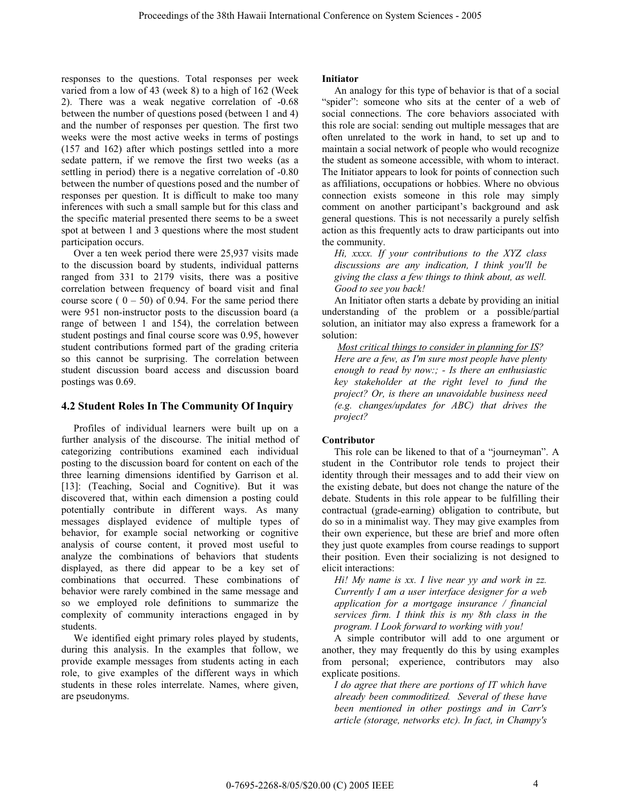responses to the questions. Total responses per week varied from a low of 43 (week 8) to a high of 162 (Week 2). There was a weak negative correlation of -0.68 between the number of questions posed (between 1 and 4) and the number of responses per question. The first two weeks were the most active weeks in terms of postings (157 and 162) after which postings settled into a more sedate pattern, if we remove the first two weeks (as a settling in period) there is a negative correlation of -0.80 between the number of questions posed and the number of responses per question. It is difficult to make too many inferences with such a small sample but for this class and the specific material presented there seems to be a sweet spot at between 1 and 3 questions where the most student participation occurs.

Over a ten week period there were 25,937 visits made to the discussion board by students, individual patterns ranged from 331 to 2179 visits, there was a positive correlation between frequency of board visit and final course score ( $0 - 50$ ) of 0.94. For the same period there were 951 non-instructor posts to the discussion board (a range of between 1 and 154), the correlation between student postings and final course score was 0.95, however student contributions formed part of the grading criteria so this cannot be surprising. The correlation between student discussion board access and discussion board postings was 0.69.

# **4.2 Student Roles In The Community Of Inquiry**

Profiles of individual learners were built up on a further analysis of the discourse. The initial method of categorizing contributions examined each individual posting to the discussion board for content on each of the three learning dimensions identified by Garrison et al. [13]: (Teaching, Social and Cognitive). But it was discovered that, within each dimension a posting could potentially contribute in different ways. As many messages displayed evidence of multiple types of behavior, for example social networking or cognitive analysis of course content, it proved most useful to analyze the combinations of behaviors that students displayed, as there did appear to be a key set of combinations that occurred. These combinations of behavior were rarely combined in the same message and so we employed role definitions to summarize the complexity of community interactions engaged in by students.

We identified eight primary roles played by students, during this analysis. In the examples that follow, we provide example messages from students acting in each role, to give examples of the different ways in which students in these roles interrelate. Names, where given, are pseudonyms.

#### **Initiator**

An analogy for this type of behavior is that of a social "spider": someone who sits at the center of a web of social connections. The core behaviors associated with this role are social: sending out multiple messages that are often unrelated to the work in hand, to set up and to maintain a social network of people who would recognize the student as someone accessible, with whom to interact. The Initiator appears to look for points of connection such as affiliations, occupations or hobbies. Where no obvious connection exists someone in this role may simply comment on another participant's background and ask general questions. This is not necessarily a purely selfish action as this frequently acts to draw participants out into the community.

*Hi, xxxx. If your contributions to the XYZ class discussions are any indication, I think you'll be giving the class a few things to think about, as well. Good to see you back!* 

An Initiator often starts a debate by providing an initial understanding of the problem or a possible/partial solution, an initiator may also express a framework for a solution:

*Most critical things to consider in planning for IS? Here are a few, as I'm sure most people have plenty enough to read by now:; - Is there an enthusiastic key stakeholder at the right level to fund the project? Or, is there an unavoidable business need (e.g. changes/updates for ABC) that drives the project?* 

### **Contributor**

This role can be likened to that of a "journeyman". A student in the Contributor role tends to project their identity through their messages and to add their view on the existing debate, but does not change the nature of the debate. Students in this role appear to be fulfilling their contractual (grade-earning) obligation to contribute, but do so in a minimalist way. They may give examples from their own experience, but these are brief and more often they just quote examples from course readings to support their position. Even their socializing is not designed to elicit interactions:

*Hi! My name is xx. I live near yy and work in zz. Currently I am a user interface designer for a web application for a mortgage insurance / financial services firm. I think this is my 8th class in the program. I Look forward to working with you!* 

A simple contributor will add to one argument or another, they may frequently do this by using examples from personal; experience, contributors may also explicate positions.

*I do agree that there are portions of IT which have already been commoditized. Several of these have been mentioned in other postings and in Carr's article (storage, networks etc). In fact, in Champy's*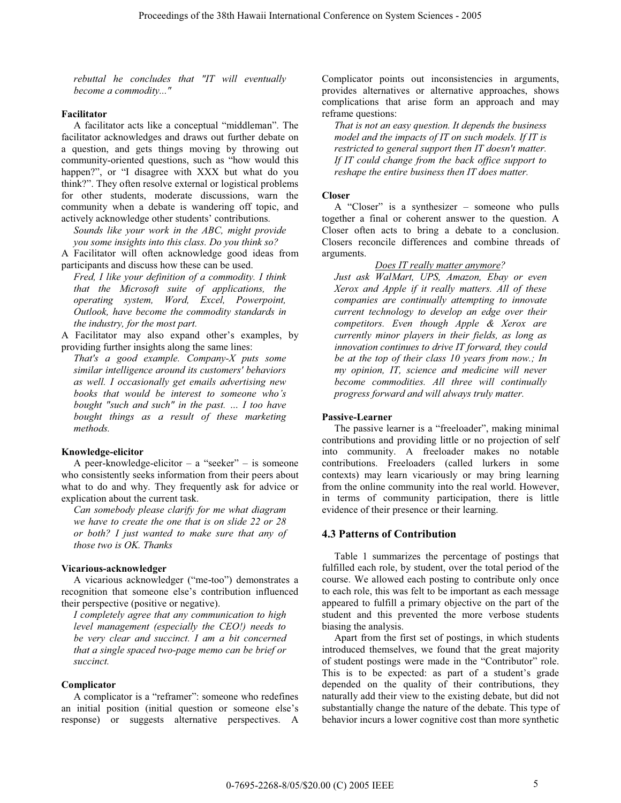*rebuttal he concludes that "IT will eventually become a commodity..."* 

#### **Facilitator**

A facilitator acts like a conceptual "middleman". The facilitator acknowledges and draws out further debate on a question, and gets things moving by throwing out community-oriented questions, such as "how would this happen?", or "I disagree with XXX but what do you think?". They often resolve external or logistical problems for other students, moderate discussions, warn the community when a debate is wandering off topic, and actively acknowledge other students' contributions.

*Sounds like your work in the ABC, might provide you some insights into this class. Do you think so?* 

A Facilitator will often acknowledge good ideas from participants and discuss how these can be used.

*Fred, I like your definition of a commodity. I think that the Microsoft suite of applications, the operating system, Word, Excel, Powerpoint, Outlook, have become the commodity standards in the industry, for the most part.* 

A Facilitator may also expand other's examples, by providing further insights along the same lines:

*That's a good example. Company-X puts some similar intelligence around its customers' behaviors as well. I occasionally get emails advertising new books that would be interest to someone who's bought "such and such" in the past. … I too have bought things as a result of these marketing methods.* 

### **Knowledge-elicitor**

A peer-knowledge-elicitor – a "seeker" – is someone who consistently seeks information from their peers about what to do and why. They frequently ask for advice or explication about the current task.

*Can somebody please clarify for me what diagram we have to create the one that is on slide 22 or 28 or both? I just wanted to make sure that any of those two is OK. Thanks* 

### **Vicarious-acknowledger**

A vicarious acknowledger ("me-too") demonstrates a recognition that someone else's contribution influenced their perspective (positive or negative).

*I completely agree that any communication to high level management (especially the CEO!) needs to be very clear and succinct. I am a bit concerned that a single spaced two-page memo can be brief or succinct.* 

#### **Complicator**

A complicator is a "reframer": someone who redefines an initial position (initial question or someone else's response) or suggests alternative perspectives. A Complicator points out inconsistencies in arguments, provides alternatives or alternative approaches, shows complications that arise form an approach and may reframe questions:

*That is not an easy question. It depends the business model and the impacts of IT on such models. If IT is restricted to general support then IT doesn't matter. If IT could change from the back office support to reshape the entire business then IT does matter.* 

#### **Closer**

A "Closer" is a synthesizer – someone who pulls together a final or coherent answer to the question. A Closer often acts to bring a debate to a conclusion. Closers reconcile differences and combine threads of arguments.

#### *Does IT really matter anymore?*

*Just ask WalMart, UPS, Amazon, Ebay or even Xerox and Apple if it really matters. All of these companies are continually attempting to innovate current technology to develop an edge over their competitors. Even though Apple & Xerox are currently minor players in their fields, as long as innovation continues to drive IT forward, they could be at the top of their class 10 years from now.; In my opinion, IT, science and medicine will never become commodities. All three will continually progress forward and will always truly matter.* 

#### **Passive-Learner**

The passive learner is a "freeloader", making minimal contributions and providing little or no projection of self into community. A freeloader makes no notable contributions. Freeloaders (called lurkers in some contexts) may learn vicariously or may bring learning from the online community into the real world. However, in terms of community participation, there is little evidence of their presence or their learning.

### **4.3 Patterns of Contribution**

Table 1 summarizes the percentage of postings that fulfilled each role, by student, over the total period of the course. We allowed each posting to contribute only once to each role, this was felt to be important as each message appeared to fulfill a primary objective on the part of the student and this prevented the more verbose students biasing the analysis.

Apart from the first set of postings, in which students introduced themselves, we found that the great majority of student postings were made in the "Contributor" role. This is to be expected: as part of a student's grade depended on the quality of their contributions, they naturally add their view to the existing debate, but did not substantially change the nature of the debate. This type of behavior incurs a lower cognitive cost than more synthetic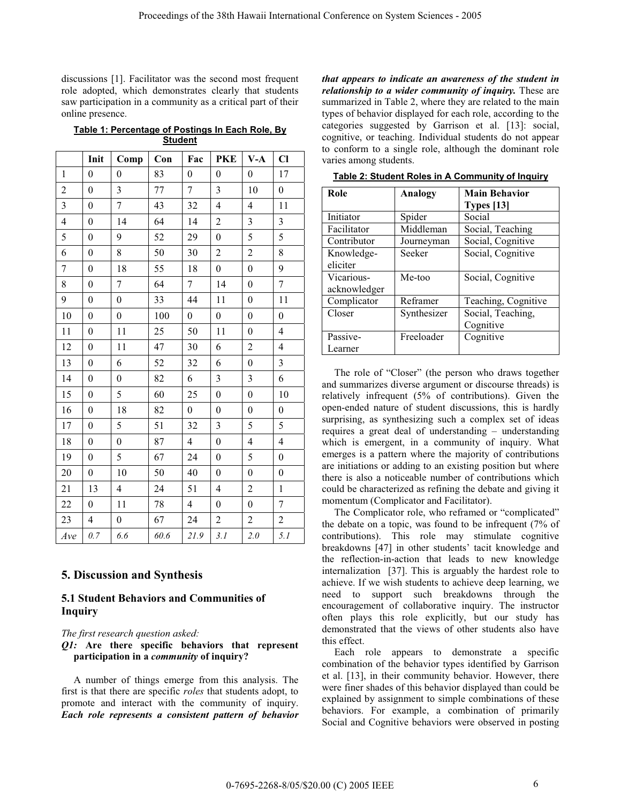discussions [1]. Facilitator was the second most frequent role adopted, which demonstrates clearly that students saw participation in a community as a critical part of their online presence.

| Table 1: Percentage of Postings In Each Role, By |
|--------------------------------------------------|
| <b>Student</b>                                   |

|                         | Init                    | Comp                    | Con    | Fac                     | <b>PKE</b>              | $V-A$                   | Cl                      |
|-------------------------|-------------------------|-------------------------|--------|-------------------------|-------------------------|-------------------------|-------------------------|
| $\mathbf{1}$            | $\boldsymbol{0}$        | $\boldsymbol{0}$        | 83     | $\boldsymbol{0}$        | $\boldsymbol{0}$        | $\overline{0}$          | 17                      |
| $\overline{2}$          | $\boldsymbol{0}$        | $\overline{3}$          | 77     | $\overline{7}$          | 3                       | 10                      | $\boldsymbol{0}$        |
| $\overline{\mathbf{3}}$ | $\boldsymbol{0}$        | $\overline{7}$          | 43     | 32                      | $\overline{\mathbf{4}}$ | $\overline{4}$          | 11                      |
| $\overline{4}$          | $\boldsymbol{0}$        | 14                      | 64     | 14                      | $\sqrt{2}$              | 3                       | $\overline{\mathbf{3}}$ |
| 5                       | $\boldsymbol{0}$        | 9                       | 52     | 29                      | $\boldsymbol{0}$        | 5                       | 5                       |
| 6                       | $\boldsymbol{0}$        | 8                       | 50     | 30                      | $\overline{c}$          | $\overline{c}$          | 8                       |
| $\boldsymbol{7}$        | $\boldsymbol{0}$        | 18                      | 55     | 18                      | $\boldsymbol{0}$        | $\boldsymbol{0}$        | 9                       |
| 8                       | $\boldsymbol{0}$        | $\overline{7}$          | 64     | $\overline{7}$          | 14                      | $\boldsymbol{0}$        | $\overline{7}$          |
| 9                       | $\mathbf{0}$            | $\overline{0}$          | 33     | 44                      | 11                      | $\boldsymbol{0}$        | 11                      |
| 10                      | $\boldsymbol{0}$        | $\boldsymbol{0}$        | 100    | $\boldsymbol{0}$        | $\boldsymbol{0}$        | $\boldsymbol{0}$        | $\boldsymbol{0}$        |
| 11                      | $\boldsymbol{0}$        | 11                      | 25     | 50                      | 11                      | $\boldsymbol{0}$        | $\overline{4}$          |
| 12                      | $\boldsymbol{0}$        | 11                      | 47     | 30                      | 6                       | $\overline{c}$          | $\overline{4}$          |
| 13                      | $\boldsymbol{0}$        | 6                       | 52     | 32                      | 6                       | $\boldsymbol{0}$        | $\overline{\mathbf{3}}$ |
| 14                      | $\boldsymbol{0}$        | $\boldsymbol{0}$        | 82     | 6                       | $\overline{3}$          | 3                       | 6                       |
| 15                      | $\boldsymbol{0}$        | 5                       | 60     | 25                      | $\boldsymbol{0}$        | $\boldsymbol{0}$        | 10                      |
| 16                      | $\boldsymbol{0}$        | 18                      | 82     | $\boldsymbol{0}$        | $\boldsymbol{0}$        | $\boldsymbol{0}$        | $\boldsymbol{0}$        |
| 17                      | $\boldsymbol{0}$        | 5                       | 51     | 32                      | $\overline{\mathbf{3}}$ | 5                       | 5                       |
| 18                      | $\boldsymbol{0}$        | $\boldsymbol{0}$        | 87     | $\overline{\mathbf{4}}$ | $\boldsymbol{0}$        | $\overline{\mathbf{4}}$ | $\overline{4}$          |
| 19                      | $\boldsymbol{0}$        | 5                       | 67     | 24                      | $\boldsymbol{0}$        | 5                       | $\boldsymbol{0}$        |
| 20                      | $\boldsymbol{0}$        | $10\,$                  | 50     | 40                      | $\boldsymbol{0}$        | $\boldsymbol{0}$        | $\boldsymbol{0}$        |
| 21                      | 13                      | $\overline{\mathbf{4}}$ | 24     | 51                      | $\overline{\mathbf{4}}$ | $\overline{c}$          | $\mathbf 1$             |
| 22                      | $\boldsymbol{0}$        | $11\,$                  | $78\,$ | $\overline{\mathbf{4}}$ | $\boldsymbol{0}$        | $\boldsymbol{0}$        | $\overline{7}$          |
| 23                      | $\overline{\mathbf{4}}$ | $\boldsymbol{0}$        | 67     | 24                      | $\sqrt{2}$              | $\overline{c}$          | $\overline{c}$          |
| Ave                     | 0.7                     | 6.6                     | 60.6   | 21.9                    | 3.1                     | 2.0                     | 5.1                     |

# **5. Discussion and Synthesis**

# **5.1 Student Behaviors and Communities of Inquiry**

#### *The first research question asked:*

### *Q1:* **Are there specific behaviors that represent participation in a** *community* **of inquiry?**

A number of things emerge from this analysis. The first is that there are specific *roles* that students adopt, to promote and interact with the community of inquiry. *Each role represents a consistent pattern of behavior*  *that appears to indicate an awareness of the student in relationship to a wider community of inquiry.* These are summarized in Table 2, where they are related to the main types of behavior displayed for each role, according to the categories suggested by Garrison et al. [13]: social, cognitive, or teaching. Individual students do not appear to conform to a single role, although the dominant role varies among students.

| Role         | Analogy     | <b>Main Behavior</b> |
|--------------|-------------|----------------------|
|              |             | Types $[13]$         |
| Initiator    | Spider      | Social               |
| Facilitator  | Middleman   | Social, Teaching     |
| Contributor  | Journeyman  | Social, Cognitive    |
| Knowledge-   | Seeker      | Social, Cognitive    |
| eliciter     |             |                      |
| Vicarious-   | Me-too      | Social, Cognitive    |
| acknowledger |             |                      |
| Complicator  | Reframer    | Teaching, Cognitive  |
| Closer       | Synthesizer | Social, Teaching,    |
|              |             | Cognitive            |
| Passive-     | Freeloader  | Cognitive            |
| Learner      |             |                      |

**Table 2: Student Roles in A Community of Inquiry**

The role of "Closer" (the person who draws together and summarizes diverse argument or discourse threads) is relatively infrequent (5% of contributions). Given the open-ended nature of student discussions, this is hardly surprising, as synthesizing such a complex set of ideas requires a great deal of understanding – understanding which is emergent, in a community of inquiry. What emerges is a pattern where the majority of contributions are initiations or adding to an existing position but where there is also a noticeable number of contributions which could be characterized as refining the debate and giving it momentum (Complicator and Facilitator).

The Complicator role, who reframed or "complicated" the debate on a topic, was found to be infrequent (7% of contributions). This role may stimulate cognitive breakdowns [47] in other students' tacit knowledge and the reflection-in-action that leads to new knowledge internalization [37]. This is arguably the hardest role to achieve. If we wish students to achieve deep learning, we need to support such breakdowns through the encouragement of collaborative inquiry. The instructor often plays this role explicitly, but our study has demonstrated that the views of other students also have this effect.

Each role appears to demonstrate a specific combination of the behavior types identified by Garrison et al. [13], in their community behavior. However, there were finer shades of this behavior displayed than could be explained by assignment to simple combinations of these behaviors. For example, a combination of primarily Social and Cognitive behaviors were observed in posting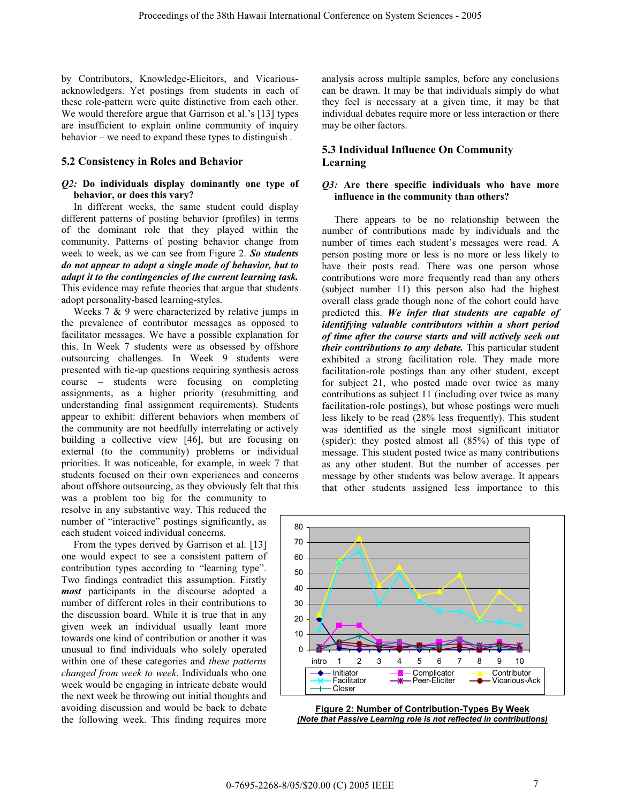by Contributors, Knowledge-Elicitors, and Vicariousacknowledgers. Yet postings from students in each of these role-pattern were quite distinctive from each other. We would therefore argue that Garrison et al.'s [13] types are insufficient to explain online community of inquiry behavior – we need to expand these types to distinguish .

# **5.2 Consistency in Roles and Behavior**

#### *Q2:* **Do individuals display dominantly one type of behavior, or does this vary?**

In different weeks, the same student could display different patterns of posting behavior (profiles) in terms of the dominant role that they played within the community. Patterns of posting behavior change from week to week, as we can see from Figure 2. *So students do not appear to adopt a single mode of behavior, but to adapt it to the contingencies of the current learning task.*  This evidence may refute theories that argue that students adopt personality-based learning-styles.

Weeks 7 & 9 were characterized by relative jumps in the prevalence of contributor messages as opposed to facilitator messages. We have a possible explanation for this. In Week 7 students were as obsessed by offshore outsourcing challenges. In Week 9 students were presented with tie-up questions requiring synthesis across course – students were focusing on completing assignments, as a higher priority (resubmitting and understanding final assignment requirements). Students appear to exhibit: different behaviors when members of the community are not heedfully interrelating or actively building a collective view [46], but are focusing on external (to the community) problems or individual priorities. It was noticeable, for example, in week 7 that students focused on their own experiences and concerns about offshore outsourcing, as they obviously felt that this

was a problem too big for the community to resolve in any substantive way. This reduced the number of "interactive" postings significantly, as each student voiced individual concerns.

From the types derived by Garrison et al. [13] one would expect to see a consistent pattern of contribution types according to "learning type". Two findings contradict this assumption. Firstly *most* participants in the discourse adopted a number of different roles in their contributions to the discussion board. While it is true that in any given week an individual usually leant more towards one kind of contribution or another it was unusual to find individuals who solely operated within one of these categories and *these patterns changed from week to week*. Individuals who one week would be engaging in intricate debate would the next week be throwing out initial thoughts and avoiding discussion and would be back to debate the following week. This finding requires more analysis across multiple samples, before any conclusions can be drawn. It may be that individuals simply do what they feel is necessary at a given time, it may be that individual debates require more or less interaction or there may be other factors.

# **5.3 Individual Influence On Community Learning**

# *Q3:* **Are there specific individuals who have more influence in the community than others?**

There appears to be no relationship between the number of contributions made by individuals and the number of times each student's messages were read. A person posting more or less is no more or less likely to have their posts read. There was one person whose contributions were more frequently read than any others (subject number 11) this person also had the highest overall class grade though none of the cohort could have predicted this. *We infer that students are capable of identifying valuable contributors within a short period of time after the course starts and will actively seek out their contributions to any debate.* This particular student exhibited a strong facilitation role. They made more facilitation-role postings than any other student, except for subject 21, who posted made over twice as many contributions as subject 11 (including over twice as many facilitation-role postings), but whose postings were much less likely to be read (28% less frequently). This student was identified as the single most significant initiator (spider): they posted almost all (85%) of this type of message. This student posted twice as many contributions as any other student. But the number of accesses per message by other students was below average. It appears that other students assigned less importance to this



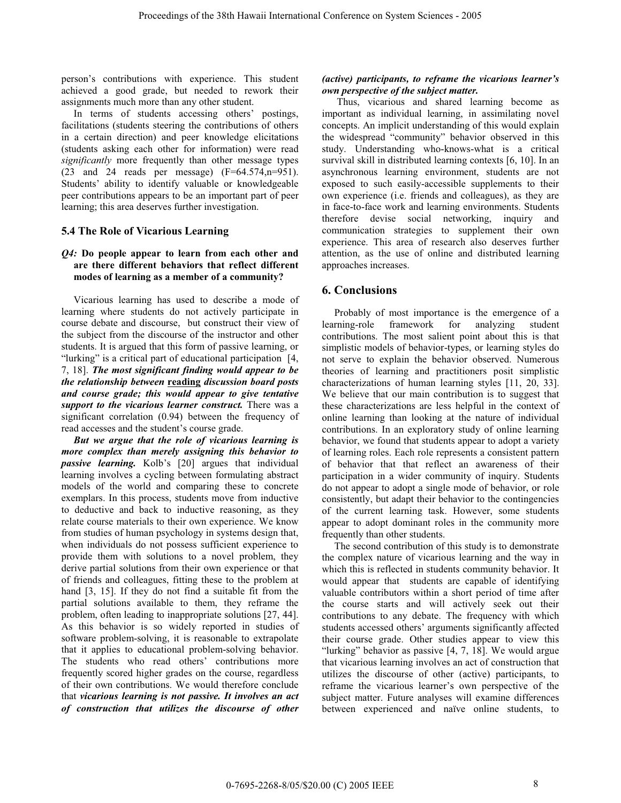person's contributions with experience. This student achieved a good grade, but needed to rework their assignments much more than any other student.

In terms of students accessing others' postings, facilitations (students steering the contributions of others in a certain direction) and peer knowledge elicitations (students asking each other for information) were read *significantly* more frequently than other message types (23 and 24 reads per message) (F=64.574,n=951). Students' ability to identify valuable or knowledgeable peer contributions appears to be an important part of peer learning; this area deserves further investigation.

### **5.4 The Role of Vicarious Learning**

## *Q4:* **Do people appear to learn from each other and are there different behaviors that reflect different modes of learning as a member of a community?**

Vicarious learning has used to describe a mode of learning where students do not actively participate in course debate and discourse, but construct their view of the subject from the discourse of the instructor and other students. It is argued that this form of passive learning, or "lurking" is a critical part of educational participation [4, 7, 18]. *The most significant finding would appear to be the relationship between* **reading** *discussion board posts and course grade; this would appear to give tentative support to the vicarious learner construct.* There was a significant correlation (0.94) between the frequency of read accesses and the student's course grade.

*But we argue that the role of vicarious learning is more complex than merely assigning this behavior to passive learning.* Kolb's [20] argues that individual learning involves a cycling between formulating abstract models of the world and comparing these to concrete exemplars. In this process, students move from inductive to deductive and back to inductive reasoning, as they relate course materials to their own experience. We know from studies of human psychology in systems design that, when individuals do not possess sufficient experience to provide them with solutions to a novel problem, they derive partial solutions from their own experience or that of friends and colleagues, fitting these to the problem at hand [3, 15]. If they do not find a suitable fit from the partial solutions available to them, they reframe the problem, often leading to inappropriate solutions [27, 44]. As this behavior is so widely reported in studies of software problem-solving, it is reasonable to extrapolate that it applies to educational problem-solving behavior. The students who read others' contributions more frequently scored higher grades on the course, regardless of their own contributions. We would therefore conclude that *vicarious learning is not passive. It involves an act of construction that utilizes the discourse of other* 

### *(active) participants, to reframe the vicarious learner's own perspective of the subject matter.*

 Thus, vicarious and shared learning become as important as individual learning, in assimilating novel concepts. An implicit understanding of this would explain the widespread "community" behavior observed in this study. Understanding who-knows-what is a critical survival skill in distributed learning contexts [6, 10]. In an asynchronous learning environment, students are not exposed to such easily-accessible supplements to their own experience (i.e. friends and colleagues), as they are in face-to-face work and learning environments. Students therefore devise social networking, inquiry and communication strategies to supplement their own experience. This area of research also deserves further attention, as the use of online and distributed learning approaches increases.

# **6. Conclusions**

Probably of most importance is the emergence of a learning-role framework for analyzing student contributions. The most salient point about this is that simplistic models of behavior-types, or learning styles do not serve to explain the behavior observed. Numerous theories of learning and practitioners posit simplistic characterizations of human learning styles [11, 20, 33]. We believe that our main contribution is to suggest that these characterizations are less helpful in the context of online learning than looking at the nature of individual contributions. In an exploratory study of online learning behavior, we found that students appear to adopt a variety of learning roles. Each role represents a consistent pattern of behavior that that reflect an awareness of their participation in a wider community of inquiry. Students do not appear to adopt a single mode of behavior, or role consistently, but adapt their behavior to the contingencies of the current learning task. However, some students appear to adopt dominant roles in the community more frequently than other students.

The second contribution of this study is to demonstrate the complex nature of vicarious learning and the way in which this is reflected in students community behavior. It would appear that students are capable of identifying valuable contributors within a short period of time after the course starts and will actively seek out their contributions to any debate. The frequency with which students accessed others' arguments significantly affected their course grade. Other studies appear to view this "lurking" behavior as passive [4, 7, 18]. We would argue that vicarious learning involves an act of construction that utilizes the discourse of other (active) participants, to reframe the vicarious learner's own perspective of the subject matter. Future analyses will examine differences between experienced and naïve online students, to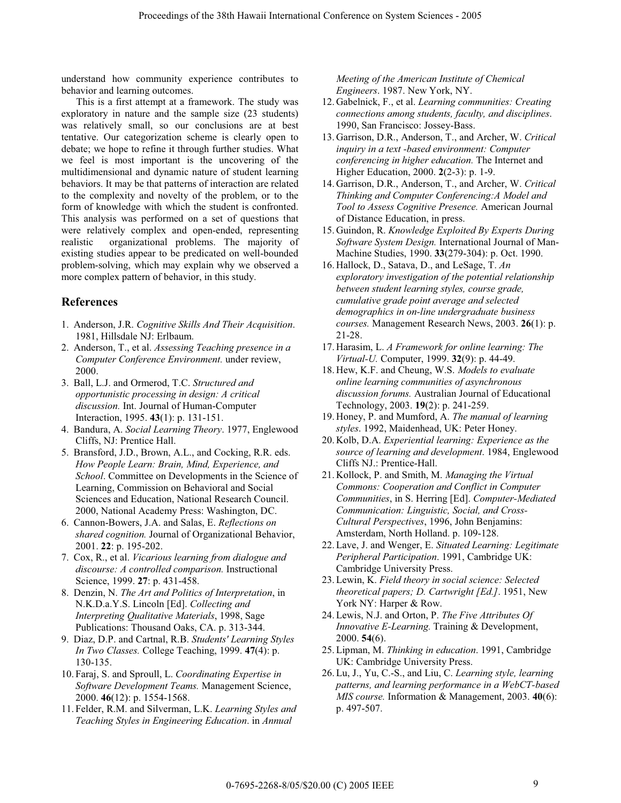understand how community experience contributes to behavior and learning outcomes.

 This is a first attempt at a framework. The study was exploratory in nature and the sample size (23 students) was relatively small, so our conclusions are at best tentative. Our categorization scheme is clearly open to debate; we hope to refine it through further studies. What we feel is most important is the uncovering of the multidimensional and dynamic nature of student learning behaviors. It may be that patterns of interaction are related to the complexity and novelty of the problem, or to the form of knowledge with which the student is confronted. This analysis was performed on a set of questions that were relatively complex and open-ended, representing realistic organizational problems. The majority of existing studies appear to be predicated on well-bounded problem-solving, which may explain why we observed a more complex pattern of behavior, in this study.

# **References**

- 1. Anderson, J.R. *Cognitive Skills And Their Acquisition*. 1981, Hillsdale NJ: Erlbaum.
- 2. Anderson, T., et al. *Assessing Teaching presence in a Computer Conference Environment.* under review, 2000.
- 3. Ball, L.J. and Ormerod, T.C. *Structured and opportunistic processing in design: A critical discussion.* Int. Journal of Human-Computer Interaction, 1995. **43**(1): p. 131-151.
- 4. Bandura, A. *Social Learning Theory*. 1977, Englewood Cliffs, NJ: Prentice Hall.
- 5. Bransford, J.D., Brown, A.L., and Cocking, R.R. eds. *How People Learn: Brain, Mind, Experience, and School*. Committee on Developments in the Science of Learning, Commission on Behavioral and Social Sciences and Education, National Research Council. 2000, National Academy Press: Washington, DC.
- 6. Cannon-Bowers, J.A. and Salas, E. *Reflections on shared cognition.* Journal of Organizational Behavior, 2001. **22**: p. 195-202.
- 7. Cox, R., et al. *Vicarious learning from dialogue and discourse: A controlled comparison.* Instructional Science, 1999. **27**: p. 431-458.
- 8. Denzin, N. *The Art and Politics of Interpretation*, in N.K.D.a.Y.S. Lincoln [Ed]. *Collecting and Interpreting Qualitative Materials*, 1998, Sage Publications: Thousand Oaks, CA. p. 313-344.
- 9. Diaz, D.P. and Cartnal, R.B. *Students' Learning Styles In Two Classes.* College Teaching, 1999. **47**(4): p. 130-135.
- 10. Faraj, S. and Sproull, L. *Coordinating Expertise in Software Development Teams.* Management Science, 2000. **46**(12): p. 1554-1568.
- 11. Felder, R.M. and Silverman, L.K. *Learning Styles and Teaching Styles in Engineering Education*. in *Annual*

*Meeting of the American Institute of Chemical Engineers*. 1987. New York, NY.

- 12. Gabelnick, F., et al. *Learning communities: Creating connections among students, faculty, and disciplines*. 1990, San Francisco: Jossey-Bass.
- 13. Garrison, D.R., Anderson, T., and Archer, W. *Critical inquiry in a text -based environment: Computer conferencing in higher education.* The Internet and Higher Education, 2000. **2**(2-3): p. 1-9.
- 14. Garrison, D.R., Anderson, T., and Archer, W. *Critical Thinking and Computer Conferencing:A Model and Tool to Assess Cognitive Presence.* American Journal of Distance Education, in press.
- 15. Guindon, R. *Knowledge Exploited By Experts During Software System Design.* International Journal of Man-Machine Studies, 1990. **33**(279-304): p. Oct. 1990.
- 16. Hallock, D., Satava, D., and LeSage, T. *An exploratory investigation of the potential relationship between student learning styles, course grade, cumulative grade point average and selected demographics in on-line undergraduate business courses.* Management Research News, 2003. **26**(1): p. 21-28.
- 17. Harasim, L. *A Framework for online learning: The Virtual-U.* Computer, 1999. **32**(9): p. 44-49.
- 18. Hew, K.F. and Cheung, W.S. *Models to evaluate online learning communities of asynchronous discussion forums.* Australian Journal of Educational Technology, 2003. **19**(2): p. 241-259.
- 19. Honey, P. and Mumford, A. *The manual of learning styles*. 1992, Maidenhead, UK: Peter Honey.
- 20. Kolb, D.A. *Experiential learning: Experience as the source of learning and development*. 1984, Englewood Cliffs NJ.: Prentice-Hall.
- 21. Kollock, P. and Smith, M. *Managing the Virtual Commons: Cooperation and Conflict in Computer Communities*, in S. Herring [Ed]. *Computer-Mediated Communication: Linguistic, Social, and Cross-Cultural Perspectives*, 1996, John Benjamins: Amsterdam, North Holland. p. 109-128.
- 22. Lave, J. and Wenger, E. *Situated Learning: Legitimate Peripheral Participation*. 1991, Cambridge UK: Cambridge University Press.
- 23. Lewin, K. *Field theory in social science: Selected theoretical papers; D. Cartwright [Ed.]*. 1951, New York NY: Harper & Row.
- 24. Lewis, N.J. and Orton, P. *The Five Attributes Of Innovative E-Learning.* Training & Development, 2000. **54**(6).
- 25. Lipman, M. *Thinking in education*. 1991, Cambridge UK: Cambridge University Press.
- 26. Lu, J., Yu, C.-S., and Liu, C. *Learning style, learning patterns, and learning performance in a WebCT-based MIS course.* Information & Management, 2003. **40**(6): p. 497-507.